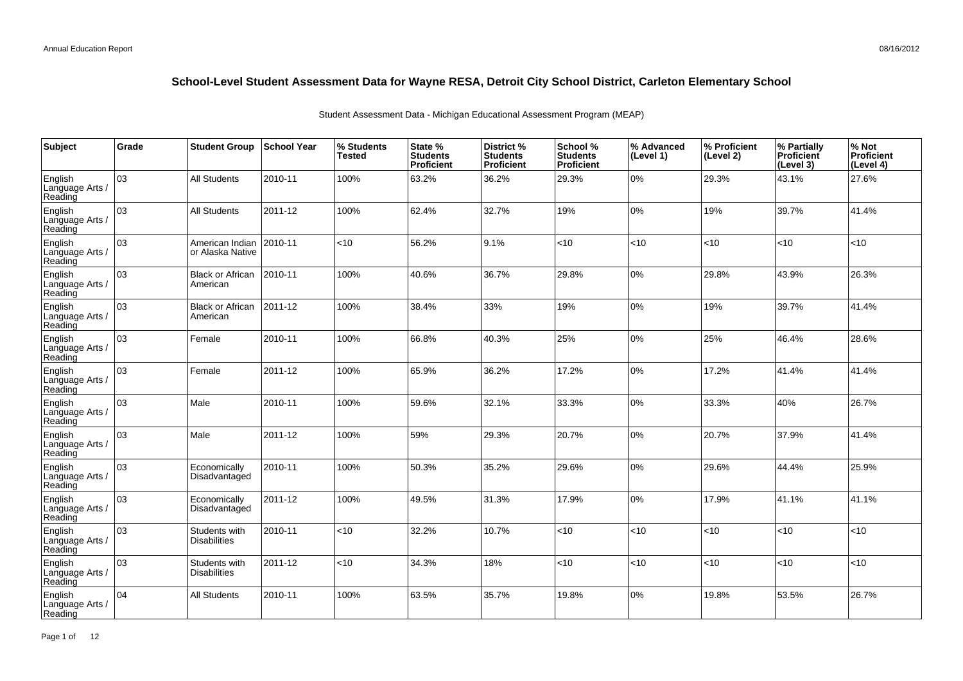| Subject                               | Grade | <b>Student Group</b>                 | <b>School Year</b> | % Students<br><b>Tested</b> | State %<br><b>Students</b><br>Proficient | District %<br><b>Students</b><br>Proficient | School %<br><b>Students</b><br><b>Proficient</b> | % Advanced<br>(Level 1) | │% Proficient<br>(Level 2) | % Partially<br>Proficient<br>(Level 3) | % Not<br>Proficient<br>(Level 4) |
|---------------------------------------|-------|--------------------------------------|--------------------|-----------------------------|------------------------------------------|---------------------------------------------|--------------------------------------------------|-------------------------|----------------------------|----------------------------------------|----------------------------------|
| English<br>Language Arts /<br>Reading | 03    | <b>All Students</b>                  | 2010-11            | 100%                        | 63.2%                                    | 36.2%                                       | 29.3%                                            | 0%                      | 29.3%                      | 43.1%                                  | 27.6%                            |
| English<br>Language Arts /<br>Reading | 03    | <b>All Students</b>                  | 2011-12            | 100%                        | 62.4%                                    | 32.7%                                       | 19%                                              | 0%                      | 19%                        | 39.7%                                  | 41.4%                            |
| English<br>Language Arts /<br>Reading | lоз   | American Indian<br>or Alaska Native  | 2010-11            | $<$ 10                      | 56.2%                                    | 9.1%                                        | < 10                                             | < 10                    | 10                         | < 10                                   | <10                              |
| English<br>Language Arts /<br>Reading | 03    | <b>Black or African</b><br>American  | 2010-11            | 100%                        | 40.6%                                    | 36.7%                                       | 29.8%                                            | 0%                      | 29.8%                      | 43.9%                                  | 26.3%                            |
| English<br>Language Arts /<br>Reading | 03    | <b>Black or African</b><br>American  | 2011-12            | 100%                        | 38.4%                                    | 33%                                         | 19%                                              | 0%                      | 19%                        | 39.7%                                  | 41.4%                            |
| English<br>Language Arts /<br>Reading | 03    | Female                               | 2010-11            | 100%                        | 66.8%                                    | 40.3%                                       | 25%                                              | 0%                      | 25%                        | 46.4%                                  | 28.6%                            |
| English<br>Language Arts /<br>Reading | 03    | Female                               | 2011-12            | 100%                        | 65.9%                                    | 36.2%                                       | 17.2%                                            | 0%                      | 17.2%                      | 41.4%                                  | 41.4%                            |
| English<br>Language Arts /<br>Reading | 03    | Male                                 | 2010-11            | 100%                        | 59.6%                                    | 32.1%                                       | 33.3%                                            | 0%                      | 33.3%                      | 40%                                    | 26.7%                            |
| English<br>Language Arts /<br>Reading | 03    | Male                                 | 2011-12            | 100%                        | 59%                                      | 29.3%                                       | 20.7%                                            | 0%                      | 20.7%                      | 37.9%                                  | 41.4%                            |
| English<br>Language Arts /<br>Reading | 03    | Economically<br>Disadvantaged        | 2010-11            | 100%                        | 50.3%                                    | 35.2%                                       | 29.6%                                            | 0%                      | 29.6%                      | 44.4%                                  | 25.9%                            |
| English<br>Language Arts /<br>Reading | 03    | Economically<br>Disadvantaged        | 2011-12            | 100%                        | 49.5%                                    | 31.3%                                       | 17.9%                                            | 0%                      | 17.9%                      | 41.1%                                  | 41.1%                            |
| English<br>Language Arts /<br>Reading | 03    | Students with<br><b>Disabilities</b> | 2010-11            | <10                         | 32.2%                                    | 10.7%                                       | <10                                              | < 10                    | <10                        | <10                                    | <10                              |
| English<br>Language Arts /<br>Reading | lоз   | Students with<br><b>Disabilities</b> | 2011-12            | < 10                        | 34.3%                                    | 18%                                         | < 10                                             | < 10                    | < 10                       | < 10                                   | <10                              |
| English<br>Language Arts /<br>Reading | 04    | <b>All Students</b>                  | 2010-11            | 100%                        | 63.5%                                    | 35.7%                                       | 19.8%                                            | 0%                      | 19.8%                      | 53.5%                                  | 26.7%                            |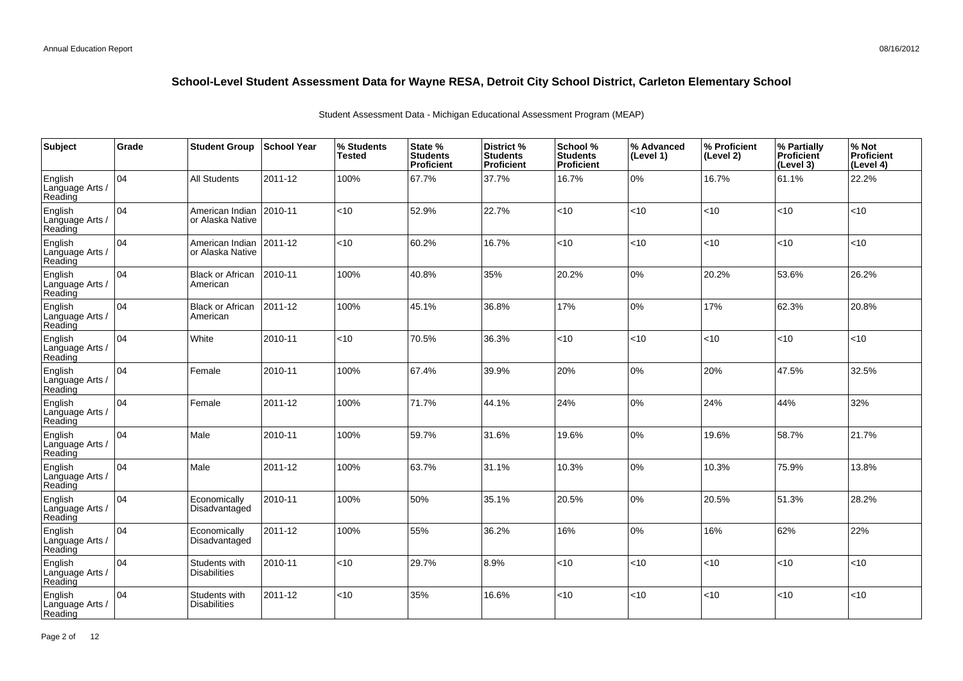| <b>Subject</b>                        | Grade | <b>Student Group</b>                 | <b>School Year</b> | % Students<br><b>Tested</b> | State %<br><b>Students</b><br><b>Proficient</b> | District %<br><b>Students</b><br>Proficient | School %<br><b>Students</b><br><b>Proficient</b> | % Advanced<br>(Level 1) | % Proficient<br>(Level 2) | % Partially<br>Proficient<br>(Level 3) | % Not<br>Proficient<br>(Level 4) |
|---------------------------------------|-------|--------------------------------------|--------------------|-----------------------------|-------------------------------------------------|---------------------------------------------|--------------------------------------------------|-------------------------|---------------------------|----------------------------------------|----------------------------------|
| English<br>Language Arts /<br>Reading | 104   | <b>All Students</b>                  | 2011-12            | 100%                        | 67.7%                                           | 37.7%                                       | 16.7%                                            | 0%                      | 16.7%                     | 61.1%                                  | 22.2%                            |
| English<br>Language Arts /<br>Reading | 104   | American Indian<br>or Alaska Native  | 2010-11            | <10                         | 52.9%                                           | 22.7%                                       | <10                                              | < 10                    | < 10                      | < 10                                   | <10                              |
| English<br>Language Arts /<br>Reading | 104   | American Indian<br>or Alaska Native  | 2011-12            | $<$ 10                      | 60.2%                                           | 16.7%                                       | < 10                                             | <10                     | $<$ 10                    | < 10                                   | $<$ 10                           |
| English<br>Language Arts /<br>Reading | 104   | <b>Black or African</b><br>American  | 2010-11            | 100%                        | 40.8%                                           | 35%                                         | 20.2%                                            | 0%                      | 20.2%                     | 53.6%                                  | 26.2%                            |
| English<br>Language Arts /<br>Reading | 104   | <b>Black or African</b><br>American  | 2011-12            | 100%                        | 45.1%                                           | 36.8%                                       | 17%                                              | 0%                      | 17%                       | 62.3%                                  | 20.8%                            |
| English<br>Language Arts /<br>Reading | 104   | White                                | 2010-11            | <10                         | 70.5%                                           | 36.3%                                       | < 10                                             | <10                     | < 10                      | < 10                                   | <10                              |
| English<br>Language Arts /<br>Reading | 104   | Female                               | 2010-11            | 100%                        | 67.4%                                           | 39.9%                                       | 20%                                              | 0%                      | 20%                       | 47.5%                                  | 32.5%                            |
| English<br>Language Arts /<br>Reading | 04    | Female                               | 2011-12            | 100%                        | 71.7%                                           | 44.1%                                       | 24%                                              | 0%                      | 24%                       | 44%                                    | 32%                              |
| English<br>Language Arts /<br>Reading | 04    | Male                                 | 2010-11            | 100%                        | 59.7%                                           | 31.6%                                       | 19.6%                                            | 0%                      | 19.6%                     | 58.7%                                  | 21.7%                            |
| English<br>Language Arts /<br>Reading | 04    | Male                                 | 2011-12            | 100%                        | 63.7%                                           | 31.1%                                       | 10.3%                                            | 0%                      | 10.3%                     | 75.9%                                  | 13.8%                            |
| English<br>Language Arts /<br>Reading | 104   | Economically<br>Disadvantaged        | 2010-11            | 100%                        | 50%                                             | 35.1%                                       | 20.5%                                            | 0%                      | 20.5%                     | 51.3%                                  | 28.2%                            |
| English<br>Language Arts /<br>Reading | 04    | Economically<br>Disadvantaged        | 2011-12            | 100%                        | 55%                                             | 36.2%                                       | 16%                                              | 0%                      | 16%                       | 62%                                    | 22%                              |
| English<br>Language Arts /<br>Reading | 104   | Students with<br><b>Disabilities</b> | 2010-11            | < 10                        | 29.7%                                           | 8.9%                                        | < 10                                             | < 10                    | < 10                      | < 10                                   | $<$ 10                           |
| English<br>Language Arts<br>Reading   | 04    | Students with<br><b>Disabilities</b> | 2011-12            | <10                         | 35%                                             | 16.6%                                       | <10                                              | < 10                    | < 10                      | < 10                                   | <10                              |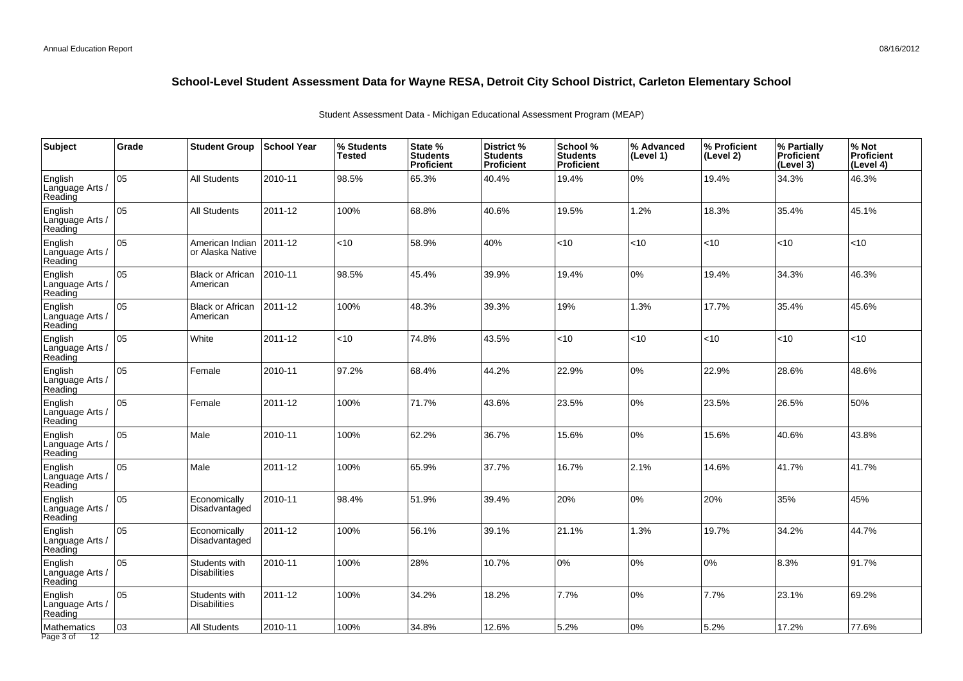| Subject                                     | Grade | <b>Student Group</b>                 | School Year | % Students<br><b>Tested</b> | State %<br><b>Students</b><br>Proficient | District %<br><b>Students</b><br>Proficient | School %<br><b>Students</b><br><b>Proficient</b> | % Advanced<br>(Level 1) | % Proficient<br>(Level 2) | % Partially<br>Proficient<br>(Level 3) | % Not<br>Proficient<br>(Level 4) |
|---------------------------------------------|-------|--------------------------------------|-------------|-----------------------------|------------------------------------------|---------------------------------------------|--------------------------------------------------|-------------------------|---------------------------|----------------------------------------|----------------------------------|
| English<br>Language Arts<br>Reading         | 05    | <b>All Students</b>                  | 2010-11     | 98.5%                       | 65.3%                                    | 40.4%                                       | 19.4%                                            | 0%                      | 19.4%                     | 34.3%                                  | 46.3%                            |
| English<br>Language Arts<br>Reading         | 05    | <b>All Students</b>                  | 2011-12     | 100%                        | 68.8%                                    | 40.6%                                       | 19.5%                                            | 1.2%                    | 18.3%                     | 35.4%                                  | 45.1%                            |
| English<br>Language Arts /<br>Reading       | 05    | American Indian<br>or Alaska Native  | 2011-12     | <10                         | 58.9%                                    | 40%                                         | <10                                              | <10                     | <10                       | <10                                    | <10                              |
| English<br>Language Arts /<br>Reading       | 05    | <b>Black or African</b><br>American  | 2010-11     | 98.5%                       | 45.4%                                    | 39.9%                                       | 19.4%                                            | $0\%$                   | 19.4%                     | 34.3%                                  | 46.3%                            |
| English<br>Language Arts<br>Reading         | 05    | <b>Black or African</b><br>American  | 2011-12     | 100%                        | 48.3%                                    | 39.3%                                       | 19%                                              | 1.3%                    | 17.7%                     | 35.4%                                  | 45.6%                            |
| English<br>Language Arts<br>Reading         | lo5   | White                                | 2011-12     | $<$ 10                      | 74.8%                                    | 43.5%                                       | < 10                                             | <10                     | <10                       | < 10                                   | <10                              |
| English<br>Language Arts /<br>Reading       | 05    | Female                               | 2010-11     | 97.2%                       | 68.4%                                    | 44.2%                                       | 22.9%                                            | 0%                      | 22.9%                     | 28.6%                                  | 48.6%                            |
| English<br>Language Arts /<br>Reading       | 05    | Female                               | 2011-12     | 100%                        | 71.7%                                    | 43.6%                                       | 23.5%                                            | 0%                      | 23.5%                     | 26.5%                                  | 50%                              |
| English<br>Language Arts<br>Reading         | 05    | Male                                 | 2010-11     | 100%                        | 62.2%                                    | 36.7%                                       | 15.6%                                            | 0%                      | 15.6%                     | 40.6%                                  | 43.8%                            |
| English<br>Language Arts<br>Reading         | 05    | Male                                 | 2011-12     | 100%                        | 65.9%                                    | 37.7%                                       | 16.7%                                            | 2.1%                    | 14.6%                     | 41.7%                                  | 41.7%                            |
| English<br>Language Arts /<br>Reading       | 05    | Economically<br>Disadvantaged        | 2010-11     | 98.4%                       | 51.9%                                    | 39.4%                                       | 20%                                              | 0%                      | 20%                       | 35%                                    | 45%                              |
| English<br>Language Arts /<br>Reading       | 05    | Economically<br>Disadvantaged        | 2011-12     | 100%                        | 56.1%                                    | 39.1%                                       | 21.1%                                            | 1.3%                    | 19.7%                     | 34.2%                                  | 44.7%                            |
| English<br>Language Arts<br>Reading         | 05    | Students with<br><b>Disabilities</b> | 2010-11     | 100%                        | 28%                                      | 10.7%                                       | 0%                                               | 0%                      | 10%                       | 8.3%                                   | 91.7%                            |
| English<br>Language Arts<br>Reading         | 05    | Students with<br><b>Disabilities</b> | 2011-12     | 100%                        | 34.2%                                    | 18.2%                                       | 7.7%                                             | 0%                      | 7.7%                      | 23.1%                                  | 69.2%                            |
| Mathematics<br>Page 3 of<br>$\overline{12}$ | 03    | <b>All Students</b>                  | 2010-11     | 100%                        | 34.8%                                    | 12.6%                                       | 5.2%                                             | 0%                      | 5.2%                      | 17.2%                                  | 77.6%                            |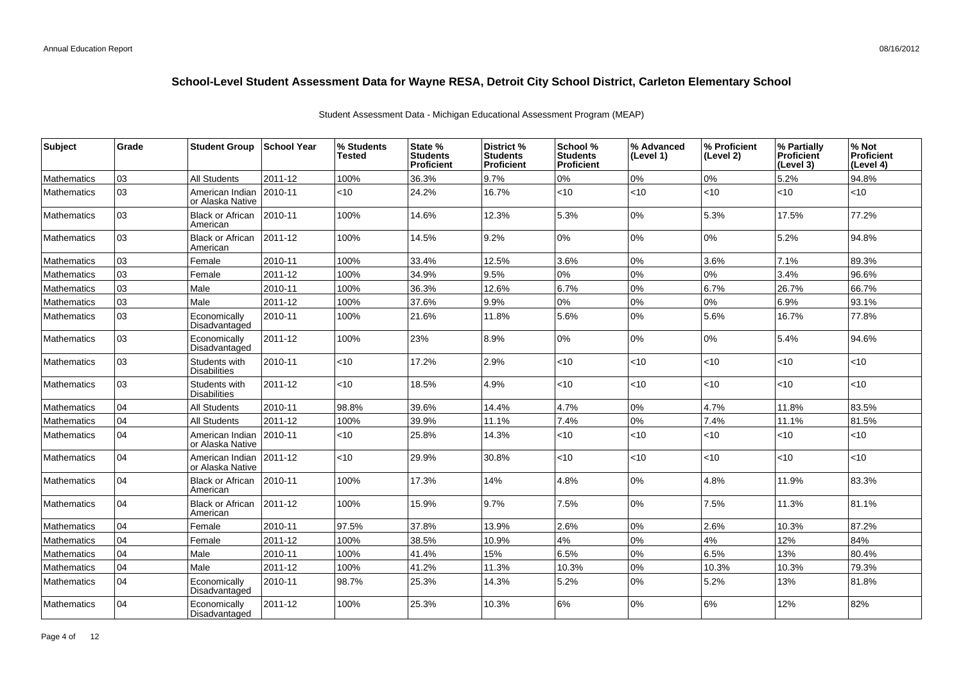| <b>Subject</b>     | Grade | <b>Student Group</b>                          | <b>School Year</b> | % Students<br>Tested | State %<br><b>Students</b><br>Proficient | District %<br><b>Students</b><br><b>Proficient</b> | School %<br><b>Students</b><br><b>Proficient</b> | % Advanced<br>(Level 1) | % Proficient<br>(Level 2) | % Partially<br><b>Proficient</b><br>(Level 3) | % Not<br>Proficient<br>(Level 4) |
|--------------------|-------|-----------------------------------------------|--------------------|----------------------|------------------------------------------|----------------------------------------------------|--------------------------------------------------|-------------------------|---------------------------|-----------------------------------------------|----------------------------------|
| Mathematics        | 03    | <b>All Students</b>                           | 2011-12            | 100%                 | 36.3%                                    | 9.7%                                               | 0%                                               | 0%                      | 0%                        | 5.2%                                          | 94.8%                            |
| Mathematics        | 03    | American Indian<br>or Alaska Native           | 2010-11            | $<$ 10               | 24.2%                                    | 16.7%                                              | < 10                                             | < 10                    | < 10                      | <10                                           | <10                              |
| Mathematics        | 03    | <b>Black or African</b><br>American           | 2010-11            | 100%                 | 14.6%                                    | 12.3%                                              | 5.3%                                             | 0%                      | 5.3%                      | 17.5%                                         | 77.2%                            |
| Mathematics        | 03    | <b>Black or African</b><br>American           | 2011-12            | 100%                 | 14.5%                                    | 9.2%                                               | 0%                                               | 0%                      | 0%                        | 5.2%                                          | 94.8%                            |
| <b>Mathematics</b> | 03    | Female                                        | 2010-11            | 100%                 | 33.4%                                    | 12.5%                                              | 3.6%                                             | $0\%$                   | 3.6%                      | 7.1%                                          | 89.3%                            |
| <b>Mathematics</b> | 03    | Female                                        | 2011-12            | 100%                 | 34.9%                                    | 9.5%                                               | 0%                                               | 0%                      | 0%                        | 3.4%                                          | 96.6%                            |
| Mathematics        | 03    | Male                                          | 2010-11            | 100%                 | 36.3%                                    | 12.6%                                              | 6.7%                                             | 0%                      | 6.7%                      | 26.7%                                         | 66.7%                            |
| Mathematics        | 03    | Male                                          | 2011-12            | 100%                 | 37.6%                                    | 9.9%                                               | 0%                                               | 0%                      | 0%                        | 6.9%                                          | 93.1%                            |
| Mathematics        | 03    | Economically<br>Disadvantaged                 | 2010-11            | 100%                 | 21.6%                                    | 11.8%                                              | 5.6%                                             | $0\%$                   | 5.6%                      | 16.7%                                         | 77.8%                            |
| <b>Mathematics</b> | 03    | Economically<br>Disadvantaged                 | 2011-12            | 100%                 | 23%                                      | 8.9%                                               | 0%                                               | 0%                      | 0%                        | 5.4%                                          | 94.6%                            |
| Mathematics        | 03    | Students with<br><b>Disabilities</b>          | 2010-11            | <10                  | 17.2%                                    | 2.9%                                               | $<$ 10                                           | < 10                    | <10                       | <10                                           | <10                              |
| <b>Mathematics</b> | 03    | Students with<br><b>Disabilities</b>          | 2011-12            | $<$ 10               | 18.5%                                    | 4.9%                                               | $<$ 10                                           | < 10                    | < 10                      | <10                                           | <10                              |
| Mathematics        | 04    | <b>All Students</b>                           | 2010-11            | 98.8%                | 39.6%                                    | 14.4%                                              | 4.7%                                             | 0%                      | 4.7%                      | 11.8%                                         | 83.5%                            |
| <b>Mathematics</b> | 04    | <b>All Students</b>                           | 2011-12            | 100%                 | 39.9%                                    | 11.1%                                              | 7.4%                                             | $0\%$                   | 7.4%                      | 11.1%                                         | 81.5%                            |
| Mathematics        | 04    | American Indian   2010-11<br>or Alaska Native |                    | $<$ 10               | 25.8%                                    | 14.3%                                              | <10                                              | <10                     | < 10                      | <10                                           | <10                              |
| Mathematics        | 104   | American Indian 2011-12<br>or Alaska Native   |                    | $<$ 10               | 29.9%                                    | 30.8%                                              | $<$ 10                                           | < 10                    | < 10                      | <10                                           | <10                              |
| <b>Mathematics</b> | 04    | <b>Black or African</b><br>American           | 2010-11            | 100%                 | 17.3%                                    | 14%                                                | 4.8%                                             | 0%                      | 4.8%                      | 11.9%                                         | 83.3%                            |
| <b>Mathematics</b> | 04    | <b>Black or African</b><br>American           | 2011-12            | 100%                 | 15.9%                                    | 9.7%                                               | 7.5%                                             | 0%                      | 7.5%                      | 11.3%                                         | 81.1%                            |
| Mathematics        | 04    | Female                                        | 2010-11            | 97.5%                | 37.8%                                    | 13.9%                                              | 2.6%                                             | 0%                      | 2.6%                      | 10.3%                                         | 87.2%                            |
| Mathematics        | 04    | Female                                        | 2011-12            | 100%                 | 38.5%                                    | 10.9%                                              | 4%                                               | 0%                      | 4%                        | 12%                                           | 84%                              |
| Mathematics        | 04    | Male                                          | 2010-11            | 100%                 | 41.4%                                    | 15%                                                | 6.5%                                             | $0\%$                   | 6.5%                      | 13%                                           | 80.4%                            |
| <b>Mathematics</b> | 04    | Male                                          | 2011-12            | 100%                 | 41.2%                                    | 11.3%                                              | 10.3%                                            | $0\%$                   | 10.3%                     | 10.3%                                         | 79.3%                            |
| <b>Mathematics</b> | 04    | Economically<br>Disadvantaged                 | 2010-11            | 98.7%                | 25.3%                                    | 14.3%                                              | 5.2%                                             | $0\%$                   | 5.2%                      | 13%                                           | 81.8%                            |
| Mathematics        | 04    | Economically<br>Disadvantaged                 | 2011-12            | 100%                 | 25.3%                                    | 10.3%                                              | 6%                                               | 0%                      | 6%                        | 12%                                           | 82%                              |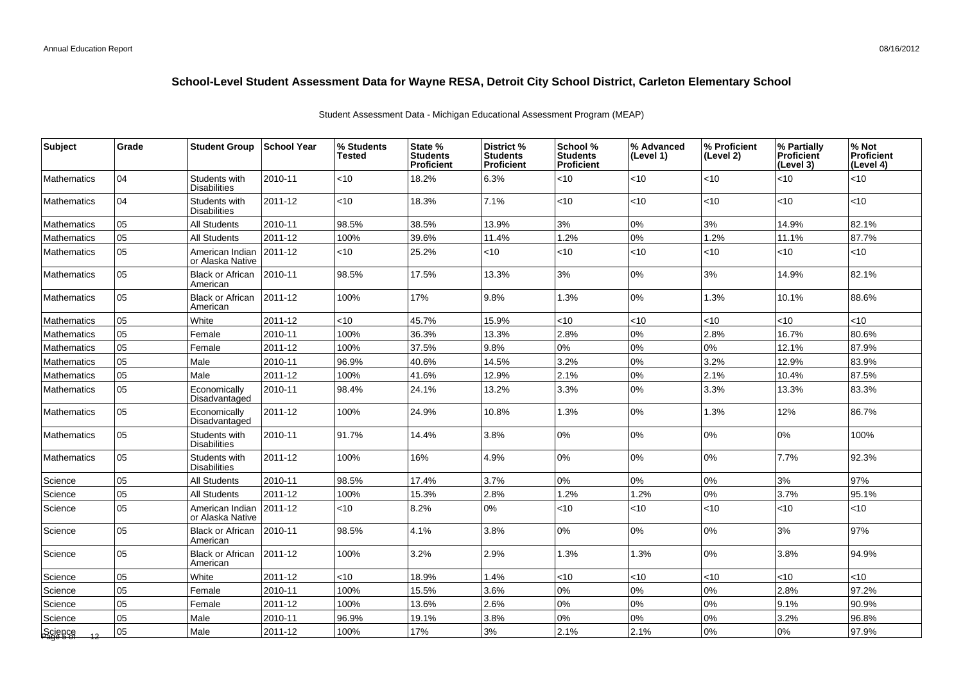| Subject              | Grade | <b>Student Group</b>                 | ∣School Year  | % Students<br>Tested | State %<br><b>Students</b><br>Proficient | District %<br><b>Students</b><br><b>Proficient</b> | School %<br><b>Students</b><br><b>Proficient</b> | % Advanced<br>(Level 1) | % Proficient<br>(Level 2) | % Partially<br>Proficient<br>(Level 3) | % Not<br><b>Proficient</b><br>(Level 4) |
|----------------------|-------|--------------------------------------|---------------|----------------------|------------------------------------------|----------------------------------------------------|--------------------------------------------------|-------------------------|---------------------------|----------------------------------------|-----------------------------------------|
| <b>Mathematics</b>   | 04    | Students with<br><b>Disabilities</b> | 2010-11       | <10                  | 18.2%                                    | 6.3%                                               | <10                                              | $<$ 10                  | $<$ 10                    | <10                                    | <10                                     |
| <b>Mathematics</b>   | 04    | Students with<br><b>Disabilities</b> | 2011-12       | <10                  | 18.3%                                    | 7.1%                                               | $<$ 10                                           | $<10$                   | < 10                      | <10                                    | <10                                     |
| <b>Mathematics</b>   | 05    | <b>All Students</b>                  | 2010-11       | 98.5%                | 38.5%                                    | 13.9%                                              | 3%                                               | 0%                      | 3%                        | 14.9%                                  | 82.1%                                   |
| <b>Mathematics</b>   | 05    | <b>All Students</b>                  | 2011-12       | 100%                 | 39.6%                                    | 11.4%                                              | 1.2%                                             | $0\%$                   | 1.2%                      | 11.1%                                  | 87.7%                                   |
| <b>Mathematics</b>   | 05    | American Indian<br>or Alaska Native  | $ 2011 - 12 $ | <10                  | 25.2%                                    | $<$ 10                                             | <10                                              | $<10$                   | <10                       | <10                                    | $<$ 10                                  |
| <b>Mathematics</b>   | 05    | <b>Black or African</b><br>American  | 2010-11       | 98.5%                | 17.5%                                    | 13.3%                                              | 3%                                               | 0%                      | 3%                        | 14.9%                                  | 82.1%                                   |
| <b>Mathematics</b>   | 05    | <b>Black or African</b><br>American  | $ 2011 - 12 $ | 100%                 | 17%                                      | 9.8%                                               | 1.3%                                             | 0%                      | 1.3%                      | 10.1%                                  | 88.6%                                   |
| <b>Mathematics</b>   | 05    | White                                | 2011-12       | <10                  | 45.7%                                    | 15.9%                                              | <10                                              | <10                     | < 10                      | <10                                    | <10                                     |
| <b>Mathematics</b>   | 05    | Female                               | 2010-11       | 100%                 | 36.3%                                    | 13.3%                                              | 2.8%                                             | 0%                      | 2.8%                      | 16.7%                                  | 80.6%                                   |
| <b>Mathematics</b>   | 05    | Female                               | 2011-12       | 100%                 | 37.5%                                    | 9.8%                                               | 0%                                               | 0%                      | 0%                        | 12.1%                                  | 87.9%                                   |
| <b>Mathematics</b>   | 05    | Male                                 | 2010-11       | 96.9%                | 40.6%                                    | 14.5%                                              | 3.2%                                             | 0%                      | 3.2%                      | 12.9%                                  | 83.9%                                   |
| <b>Mathematics</b>   | 05    | Male                                 | 2011-12       | 100%                 | 41.6%                                    | 12.9%                                              | 2.1%                                             | 0%                      | 2.1%                      | 10.4%                                  | 87.5%                                   |
| <b>Mathematics</b>   | 05    | Economically<br>Disadvantaged        | 2010-11       | 98.4%                | 24.1%                                    | 13.2%                                              | 3.3%                                             | 0%                      | 3.3%                      | 13.3%                                  | 83.3%                                   |
| <b>Mathematics</b>   | 05    | Economically<br>Disadvantaged        | 2011-12       | 100%                 | 24.9%                                    | 10.8%                                              | 1.3%                                             | 0%                      | 1.3%                      | 12%                                    | 86.7%                                   |
| <b>Mathematics</b>   | 05    | Students with<br><b>Disabilities</b> | 2010-11       | 91.7%                | 14.4%                                    | 3.8%                                               | $0\%$                                            | 0%                      | 0%                        | 0%                                     | 100%                                    |
| <b>Mathematics</b>   | 05    | Students with<br><b>Disabilities</b> | 2011-12       | 100%                 | 16%                                      | 4.9%                                               | 0%                                               | 0%                      | 0%                        | 7.7%                                   | 92.3%                                   |
| Science              | 05    | <b>All Students</b>                  | 2010-11       | 98.5%                | 17.4%                                    | 3.7%                                               | 0%                                               | 0%                      | 0%                        | 3%                                     | 97%                                     |
| Science              | 05    | <b>All Students</b>                  | 2011-12       | 100%                 | 15.3%                                    | 2.8%                                               | 1.2%                                             | 1.2%                    | 0%                        | 3.7%                                   | 95.1%                                   |
| Science              | 05    | American Indian<br>or Alaska Native  | $ 2011 - 12 $ | <10                  | 8.2%                                     | 0%                                                 | <10                                              | < 10                    | < 10                      | <10                                    | <10                                     |
| Science              | 05    | <b>Black or African</b><br>American  | 2010-11       | 98.5%                | 4.1%                                     | 3.8%                                               | $0\%$                                            | 0%                      | 0%                        | 3%                                     | 97%                                     |
| Science              | 05    | Black or African<br>American         | 2011-12       | 100%                 | 3.2%                                     | 2.9%                                               | 1.3%                                             | 1.3%                    | 0%                        | 3.8%                                   | 94.9%                                   |
| Science              | 05    | White                                | 2011-12       | <10                  | 18.9%                                    | 1.4%                                               | <10                                              | $<10$                   | < 10                      | <10                                    | <10                                     |
| Science              | 05    | Female                               | 2010-11       | 100%                 | 15.5%                                    | 3.6%                                               | $0\%$                                            | 0%                      | 0%                        | 2.8%                                   | 97.2%                                   |
| Science              | 05    | Female                               | 2011-12       | 100%                 | 13.6%                                    | 2.6%                                               | $0\%$                                            | 0%                      | 0%                        | 9.1%                                   | 90.9%                                   |
| Science              | 05    | Male                                 | 2010-11       | 96.9%                | 19.1%                                    | 3.8%                                               | $0\%$                                            | 0%                      | 0%                        | 3.2%                                   | 96.8%                                   |
| Science<br>Page 5 of | 05    | Male                                 | 2011-12       | 100%                 | 17%                                      | 3%                                                 | 2.1%                                             | 2.1%                    | 0%                        | 0%                                     | 97.9%                                   |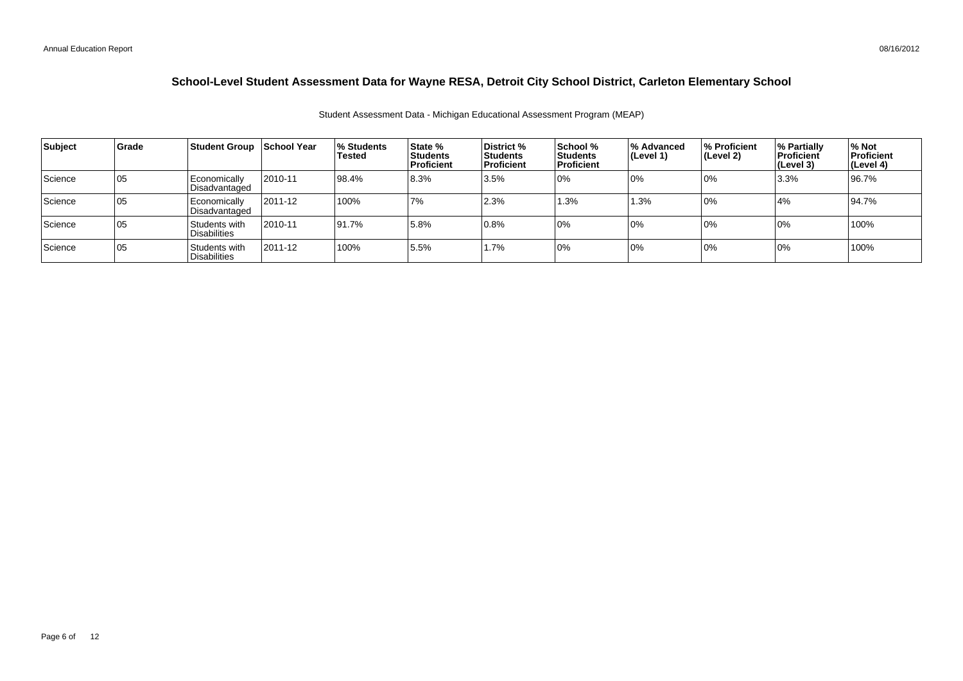| Subject | Grade | Student Group School Year            |              | <b>Students</b> l%<br><b>Tested</b> | <b>State %</b><br> Students <br> Proficient | District %<br>Students<br><b>Proficient</b> | School %<br>l Students<br>l Proficient | ∣% Advanced<br>(Level 1) | % Proficient<br>(Level 2) | % Partially<br>Proficient<br>(Level 3) | % Not<br>Proficient<br>(Level 4) |
|---------|-------|--------------------------------------|--------------|-------------------------------------|---------------------------------------------|---------------------------------------------|----------------------------------------|--------------------------|---------------------------|----------------------------------------|----------------------------------|
| Science | 105   | Economically<br>Disadvantaged        | 2010-11      | 98.4%                               | 8.3%                                        | 3.5%                                        | 0%                                     | 10%                      | 0%                        | 3.3%                                   | 96.7%                            |
| Science | l 05  | Economically<br>Disadvantaged        | $12011 - 12$ | 100%                                | 7%                                          | 2.3%                                        | 1.3%                                   | 1.3%                     | 0%                        | 4%                                     | 94.7%                            |
| Science | 105   | Students with<br><b>Disabilities</b> | 2010-11      | 91.7%                               | 5.8%                                        | 0.8%                                        | 10%                                    | 10%                      | 0%                        | 10%                                    | 100%                             |
| Science | l 05  | Students with<br><b>Disabilities</b> | $12011 - 12$ | 100%                                | 5.5%                                        | 1.7%                                        | 0%                                     | 10%                      | 0%                        | 10%                                    | 100%                             |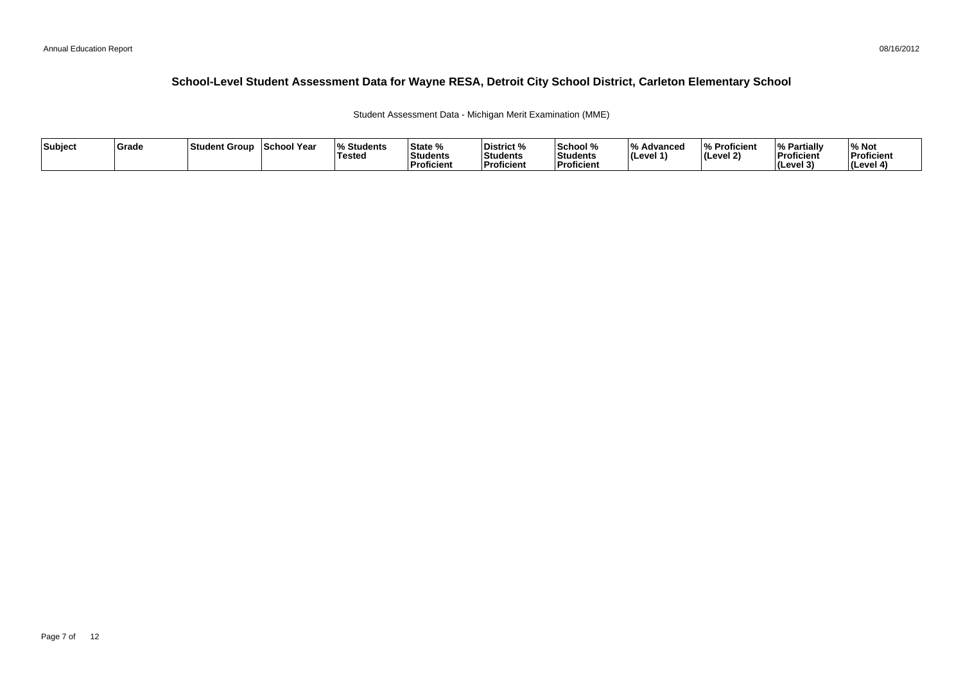Student Assessment Data - Michigan Merit Examination (MME)

| Subject | Grade | ⊺Student Group | School Year | <b>Students</b> l%<br><b>Tested</b> | State %<br><b>Students</b><br><b>Proficient</b> | District %<br><b>Students</b><br>Proficient | School %<br>Students<br><b>Proficien</b> | 1 O /<br><i>/</i> ∘ Advanced<br>∣(Level 1' | % Proficient<br>$ $ (Level 2) | <sup>1</sup> % Partiali<br>Proficient<br>$ $ (Level $3$ | % Not<br>Proficient<br>(Level 4) |
|---------|-------|----------------|-------------|-------------------------------------|-------------------------------------------------|---------------------------------------------|------------------------------------------|--------------------------------------------|-------------------------------|---------------------------------------------------------|----------------------------------|
|---------|-------|----------------|-------------|-------------------------------------|-------------------------------------------------|---------------------------------------------|------------------------------------------|--------------------------------------------|-------------------------------|---------------------------------------------------------|----------------------------------|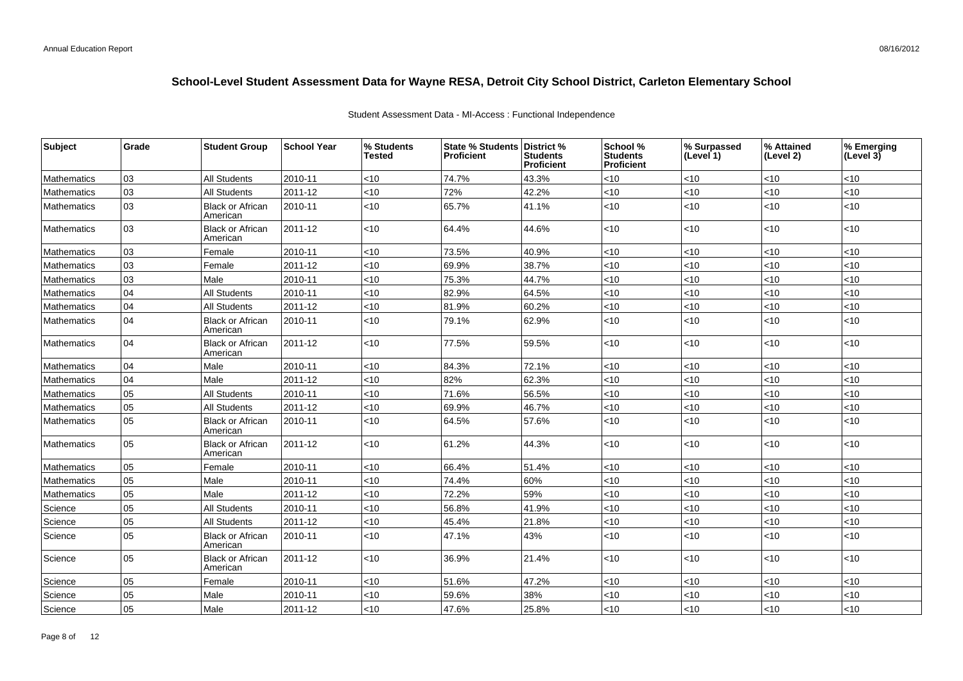| Subject            | Grade | <b>Student Group</b>                | <b>School Year</b> | % Students    | State % Students   District % |                                      | School %               | % Surpassed | % Attained | % Emerging    |
|--------------------|-------|-------------------------------------|--------------------|---------------|-------------------------------|--------------------------------------|------------------------|-------------|------------|---------------|
|                    |       |                                     |                    | <b>Tested</b> | <b>Proficient</b>             | <b>Students</b><br><b>Proficient</b> | Students<br>Proficient | (Level 1)   | (Level 2)  | $ $ (Level 3) |
| Mathematics        | l 03  | <b>All Students</b>                 | 2010-11            | 10            | 74.7%                         | 43.3%                                | < 10                   | <10         | <10        | < 10          |
| Mathematics        | 03    | <b>All Students</b>                 | 2011-12            | < 10          | 72%                           | 42.2%                                | < 10                   | <10         | $<$ 10     | < 10          |
| Mathematics        | 03    | <b>Black or African</b><br>American | 2010-11            | < 10          | 65.7%                         | 41.1%                                | < 10                   | <10         | <10        | < 10          |
| Mathematics        | 03    | <b>Black or African</b><br>American | 2011-12            | < 10          | 64.4%                         | 44.6%                                | < 10                   | <10         | <10        | <10           |
| Mathematics        | 03    | Female                              | 2010-11            | < 10          | 73.5%                         | 40.9%                                | < 10                   | <10         | <10        | < 10          |
| Mathematics        | l 03  | Female                              | 2011-12            | < 10          | 69.9%                         | 38.7%                                | < 10                   | <10         | <10        | < 10          |
| Mathematics        | 03    | Male                                | 2010-11            | < 10          | 75.3%                         | 44.7%                                | < 10                   | $<$ 10      | <10        | < 10          |
| Mathematics        | 04    | <b>All Students</b>                 | 2010-11            | < 10          | 82.9%                         | 64.5%                                | < 10                   | <10         | $<$ 10     | < 10          |
| Mathematics        | 04    | <b>All Students</b>                 | 2011-12            | < 10          | 81.9%                         | 60.2%                                | < 10                   | $<$ 10      | <10        | < 10          |
| <b>Mathematics</b> | 04    | <b>Black or African</b><br>American | 2010-11            | <10           | 79.1%                         | 62.9%                                | < 10                   | < 10        | <10        | < 10          |
| Mathematics        | 04    | <b>Black or African</b><br>American | 2011-12            | <10           | 77.5%                         | 59.5%                                | < 10                   | < 10        | <10        | < 10          |
| Mathematics        | 04    | Male                                | 2010-11            | < 10          | 84.3%                         | 72.1%                                | < 10                   | $<$ 10      | <10        | < 10          |
| <b>Mathematics</b> | 04    | Male                                | 2011-12            | < 10          | 82%                           | 62.3%                                | < 10                   | < 10        | $<$ 10     | < 10          |
| Mathematics        | 05    | <b>All Students</b>                 | 2010-11            | < 10          | 71.6%                         | 56.5%                                | < 10                   | <10         | <10        | < 10          |
| Mathematics        | 05    | <b>All Students</b>                 | 2011-12            | <10           | 69.9%                         | 46.7%                                | <10                    | <10         | <10        | <10           |
| Mathematics        | 05    | <b>Black or African</b><br>American | 2010-11            | < 10          | 64.5%                         | 57.6%                                | < 10                   | <10         | <10        | <10           |
| Mathematics        | 05    | <b>Black or African</b><br>American | 2011-12            | $<$ 10        | 61.2%                         | 44.3%                                | < 10                   | $<$ 10      | <10        | < 10          |
| Mathematics        | 05    | Female                              | 2010-11            | < 10          | 66.4%                         | 51.4%                                | < 10                   | $<$ 10      | <10        | < 10          |
| <b>Mathematics</b> | 05    | Male                                | 2010-11            | < 10          | 74.4%                         | 60%                                  | < 10                   | < 10        | $<$ 10     | < 10          |
| Mathematics        | 05    | Male                                | 2011-12            | < 10          | 72.2%                         | 59%                                  | < 10                   | < 10        | <10        | < 10          |
| Science            | 05    | <b>All Students</b>                 | 2010-11            | < 10          | 56.8%                         | 41.9%                                | < 10                   | < 10        | <10        | < 10          |
| Science            | 05    | <b>All Students</b>                 | 2011-12            | < 10          | 45.4%                         | 21.8%                                | < 10                   | <10         | $<$ 10     | < 10          |
| Science            | 05    | <b>Black or African</b><br>American | 2010-11            | < 10          | 47.1%                         | 43%                                  | $<$ 10                 | < 10        | $<$ 10     | < 10          |
| Science            | 05    | <b>Black or African</b><br>American | 2011-12            | < 10          | 36.9%                         | 21.4%                                | < 10                   | <10         | <10        | < 10          |
| Science            | 05    | Female                              | 2010-11            | < 10          | 51.6%                         | 47.2%                                | <10                    | <10         | <10        | < 10          |
| Science            | 05    | Male                                | 2010-11            | < 10          | 59.6%                         | 38%                                  | <10                    | <10         | <10        | < 10          |
| Science            | 05    | Male                                | 2011-12            | < 10          | 47.6%                         | 25.8%                                | < 10                   | <10         | <10        | < 10          |

### Student Assessment Data - MI-Access : Functional Independence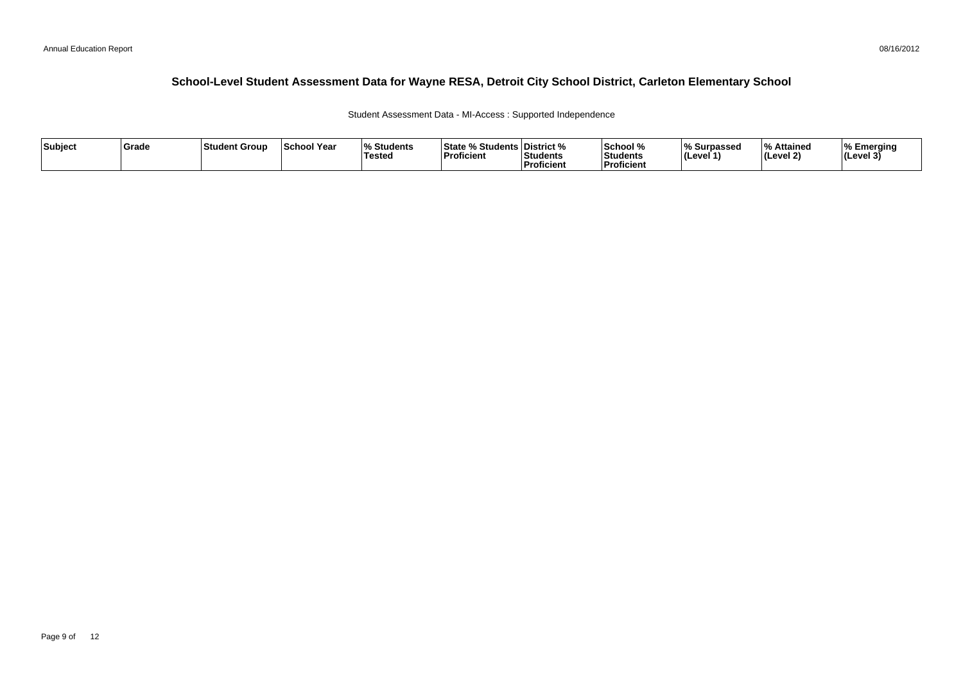Student Assessment Data - MI-Access : Supported Independence

| Subject | Grade | Student Group | <b>School Year</b> | $\mathbf{a}$<br>Students<br><b>Tested</b> | <b>State % Students District %</b><br>'Proficient | Students<br>Proficient | School %<br>Students<br><b>Proficient</b> | % Surpassed<br>(Level 1 | % Attained<br>l (Level 2) | ∣% Emeraina<br>$ $ (Level 3) |
|---------|-------|---------------|--------------------|-------------------------------------------|---------------------------------------------------|------------------------|-------------------------------------------|-------------------------|---------------------------|------------------------------|
|---------|-------|---------------|--------------------|-------------------------------------------|---------------------------------------------------|------------------------|-------------------------------------------|-------------------------|---------------------------|------------------------------|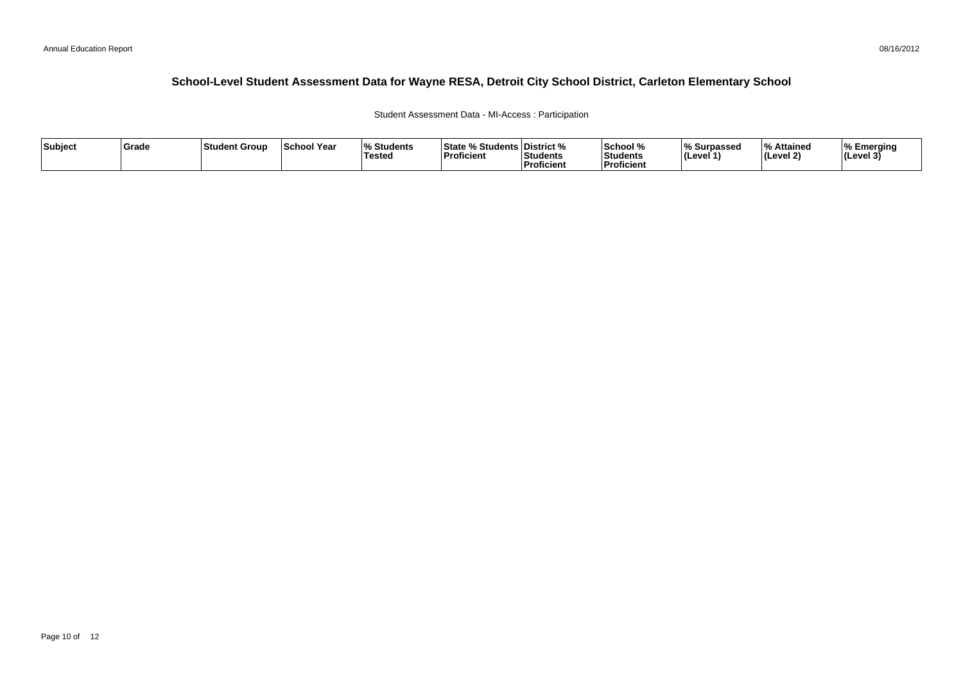#### Student Assessment Data - MI-Access : Participation

| Subject | ∣Grade | <b>Student Group</b> | <b>School Year</b> | Students<br><b>Tested</b> | <b>State % Students District %</b><br>$\mathbf{r}$<br>Proficient | Students<br>Proficient | School %<br>Students<br><b>Proficient</b> | % Surpassed<br>(Level | % Attained<br>$ $ (Level 2) | ⊺% Emerging<br> (Level 3) |
|---------|--------|----------------------|--------------------|---------------------------|------------------------------------------------------------------|------------------------|-------------------------------------------|-----------------------|-----------------------------|---------------------------|
|---------|--------|----------------------|--------------------|---------------------------|------------------------------------------------------------------|------------------------|-------------------------------------------|-----------------------|-----------------------------|---------------------------|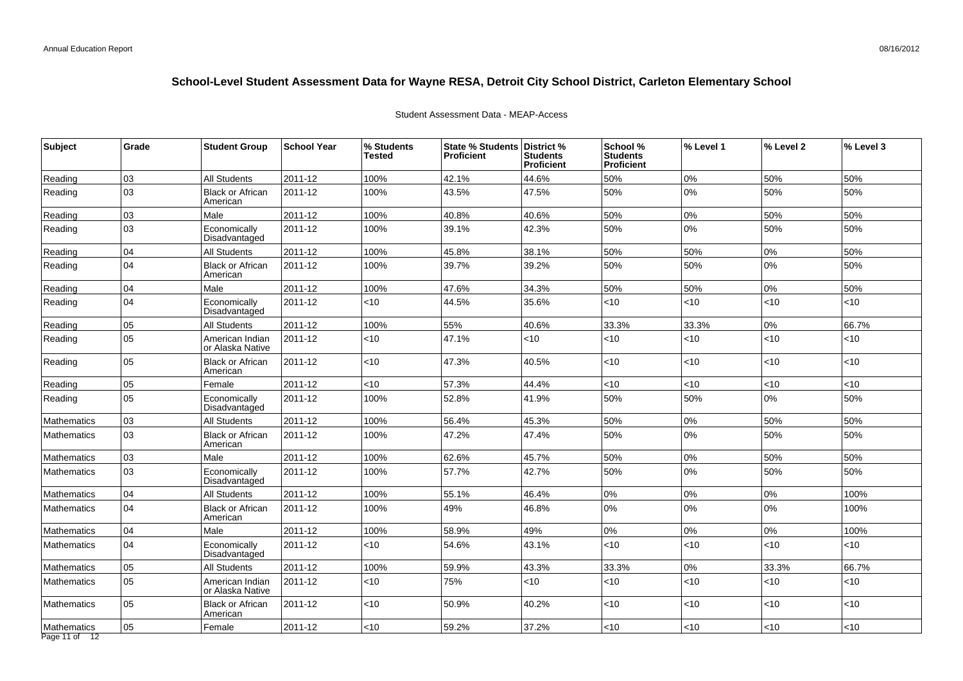| <b>Subject</b>     | Grade | <b>Student Group</b>                | <b>School Year</b> | % Students<br>Tested | State % Students District %<br><b>Proficient</b> | <b>Students</b><br><b>Proficient</b> | School %<br><b>Students</b><br><b>Proficient</b> | % Level 1 | % Level 2 | % Level 3 |
|--------------------|-------|-------------------------------------|--------------------|----------------------|--------------------------------------------------|--------------------------------------|--------------------------------------------------|-----------|-----------|-----------|
| Reading            | 03    | <b>All Students</b>                 | 2011-12            | 100%                 | 42.1%                                            | 44.6%                                | 50%                                              | 0%        | 50%       | 50%       |
| Reading            | 03    | <b>Black or African</b><br>American | 2011-12            | 100%                 | 43.5%                                            | 47.5%                                | 50%                                              | 0%        | 50%       | 50%       |
| Reading            | 03    | Male                                | 2011-12            | 100%                 | 40.8%                                            | 40.6%                                | 50%                                              | 0%        | 50%       | 50%       |
| Reading            | 03    | Economically<br>Disadvantaged       | 2011-12            | 100%                 | 39.1%                                            | 42.3%                                | 50%                                              | 0%        | 50%       | 50%       |
| Reading            | 04    | <b>All Students</b>                 | 2011-12            | 100%                 | 45.8%                                            | 38.1%                                | 50%                                              | 50%       | 0%        | 50%       |
| Reading            | 04    | <b>Black or African</b><br>American | 2011-12            | 100%                 | 39.7%                                            | 39.2%                                | 50%                                              | 50%       | 0%        | 50%       |
| Reading            | 04    | Male                                | 2011-12            | 100%                 | 47.6%                                            | 34.3%                                | 50%                                              | 50%       | 0%        | 50%       |
| Reading            | 04    | Economically<br>Disadvantaged       | 2011-12            | <10                  | 44.5%                                            | 35.6%                                | <10                                              | <10       | <10       | <10       |
| Reading            | 05    | <b>All Students</b>                 | 2011-12            | 100%                 | 55%                                              | 40.6%                                | 33.3%                                            | 33.3%     | 0%        | 66.7%     |
| Reading            | 05    | American Indian<br>or Alaska Native | 2011-12            | $<$ 10               | 47.1%                                            | < 10                                 | < 10                                             | <10       | <10       | <10       |
| Reading            | 05    | <b>Black or African</b><br>American | 2011-12            | <10                  | 47.3%                                            | 40.5%                                | <10                                              | <10       | <10       | <10       |
| Reading            | 05    | Female                              | 2011-12            | <10                  | 57.3%                                            | 44.4%                                | <10                                              | <10       | <10       | <10       |
| Reading            | 05    | Economically<br>Disadvantaged       | 2011-12            | 100%                 | 52.8%                                            | 41.9%                                | 50%                                              | 50%       | 0%        | 50%       |
| <b>Mathematics</b> | 03    | <b>All Students</b>                 | 2011-12            | 100%                 | 56.4%                                            | 45.3%                                | 50%                                              | 0%        | 50%       | 50%       |
| <b>Mathematics</b> | 03    | <b>Black or African</b><br>American | 2011-12            | 100%                 | 47.2%                                            | 47.4%                                | 50%                                              | 0%        | 50%       | 50%       |
| Mathematics        | 03    | Male                                | 2011-12            | 100%                 | 62.6%                                            | 45.7%                                | 50%                                              | 0%        | 50%       | 50%       |
| <b>Mathematics</b> | 03    | Economically<br>Disadvantaged       | 2011-12            | 100%                 | 57.7%                                            | 42.7%                                | 50%                                              | 0%        | 50%       | 50%       |
| <b>Mathematics</b> | 04    | <b>All Students</b>                 | 2011-12            | 100%                 | 55.1%                                            | 46.4%                                | 0%                                               | 0%        | 0%        | 100%      |
| Mathematics        | 04    | <b>Black or African</b><br>American | 2011-12            | 100%                 | 49%                                              | 46.8%                                | 0%                                               | 0%        | 0%        | 100%      |
| Mathematics        | 04    | Male                                | 2011-12            | 100%                 | 58.9%                                            | 49%                                  | 0%                                               | 0%        | 0%        | 100%      |
| <b>Mathematics</b> | 04    | Economically<br>Disadvantaged       | 2011-12            | <10                  | 54.6%                                            | 43.1%                                | $<10$                                            | <10       | <10       | <10       |
| Mathematics        | 05    | <b>All Students</b>                 | 2011-12            | 100%                 | 59.9%                                            | 43.3%                                | 33.3%                                            | 0%        | 33.3%     | 66.7%     |
| <b>Mathematics</b> | 05    | American Indian<br>or Alaska Native | 2011-12            | $<$ 10               | 75%                                              | < 10                                 | < 10                                             | <10       | $<$ 10    | < 10      |
| <b>Mathematics</b> | 05    | <b>Black or African</b><br>American | 2011-12            | $<$ 10               | 50.9%                                            | 40.2%                                | $<$ 10                                           | <10       | $<$ 10    | <10       |
| Mathematics        | 05    | Female                              | 2011-12            | <10                  | 59.2%                                            | 37.2%                                | <10                                              | <10       | <10       | < 10      |
| Page 11 of 12      |       |                                     |                    |                      |                                                  |                                      |                                                  |           |           |           |

#### Student Assessment Data - MEAP-Access

Page 11 of 12